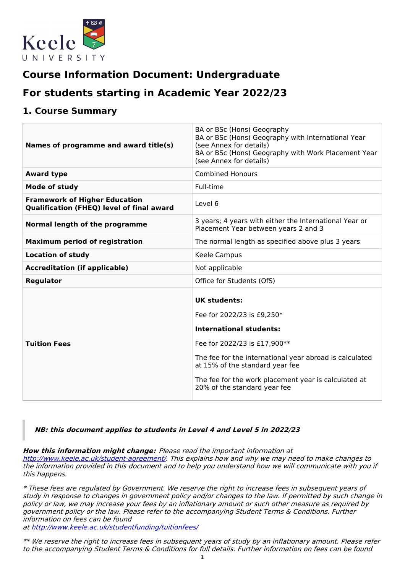

# **Course Information Document: Undergraduate**

# **For students starting in Academic Year 2022/23**

## **1. Course Summary**

| Names of programme and award title(s)                                                    | BA or BSc (Hons) Geography<br>BA or BSc (Hons) Geography with International Year<br>(see Annex for details)<br>BA or BSc (Hons) Geography with Work Placement Year<br>(see Annex for details)                                                                                                             |
|------------------------------------------------------------------------------------------|-----------------------------------------------------------------------------------------------------------------------------------------------------------------------------------------------------------------------------------------------------------------------------------------------------------|
| <b>Award type</b>                                                                        | <b>Combined Honours</b>                                                                                                                                                                                                                                                                                   |
| Mode of study                                                                            | Full-time                                                                                                                                                                                                                                                                                                 |
| <b>Framework of Higher Education</b><br><b>Qualification (FHEQ) level of final award</b> | Level 6                                                                                                                                                                                                                                                                                                   |
| Normal length of the programme                                                           | 3 years; 4 years with either the International Year or<br>Placement Year between years 2 and 3                                                                                                                                                                                                            |
| <b>Maximum period of registration</b>                                                    | The normal length as specified above plus 3 years                                                                                                                                                                                                                                                         |
| <b>Location of study</b>                                                                 | <b>Keele Campus</b>                                                                                                                                                                                                                                                                                       |
| <b>Accreditation (if applicable)</b>                                                     | Not applicable                                                                                                                                                                                                                                                                                            |
| Regulator                                                                                | Office for Students (OfS)                                                                                                                                                                                                                                                                                 |
| <b>Tuition Fees</b>                                                                      | <b>UK students:</b><br>Fee for 2022/23 is £9,250*<br><b>International students:</b><br>Fee for 2022/23 is £17,900**<br>The fee for the international year abroad is calculated<br>at 15% of the standard year fee<br>The fee for the work placement year is calculated at<br>20% of the standard year fee |

### **NB: this document applies to students in Level 4 and Level 5 in 2022/23**

**How this information might change:** Please read the important information at <http://www.keele.ac.uk/student-agreement/>. This explains how and why we may need to make changes to the information provided in this document and to help you understand how we will communicate with you if this happens.

\* These fees are regulated by Government. We reserve the right to increase fees in subsequent years of study in response to changes in government policy and/or changes to the law. If permitted by such change in policy or law, we may increase your fees by an inflationary amount or such other measure as required by government policy or the law. Please refer to the accompanying Student Terms & Conditions. Further information on fees can be found

at <http://www.keele.ac.uk/studentfunding/tuitionfees/>

\*\* We reserve the right to increase fees in subsequent years of study by an inflationary amount. Please refer to the accompanying Student Terms & Conditions for full details. Further information on fees can be found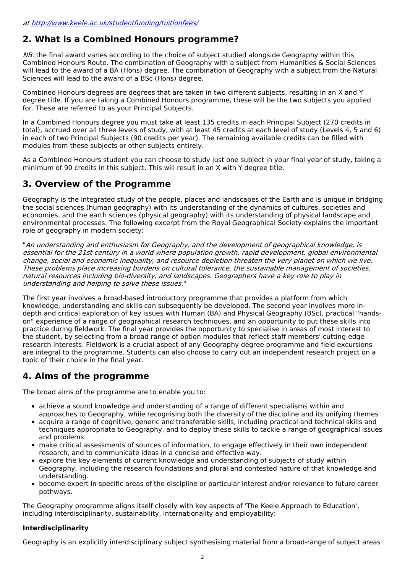## **2. What is a Combined Honours programme?**

 $NB$ : the final award varies according to the choice of subject studied alongside Geography within this Combined Honours Route. The combination of Geography with a subject from Humanities & Social Sciences will lead to the award of a BA (Hons) degree. The combination of Geography with a subject from the Natural Sciences will lead to the award of a BSc (Hons) degree.

Combined Honours degrees are degrees that are taken in two different subjects, resulting in an X and Y degree title. If you are taking a Combined Honours programme, these will be the two subjects you applied for. These are referred to as your Principal Subjects.

In a Combined Honours degree you must take at least 135 credits in each Principal Subject (270 credits in total), accrued over all three levels of study, with at least 45 credits at each level of study (Levels 4, 5 and 6) in each of two Principal Subjects (90 credits per year). The remaining available credits can be filled with modules from these subjects or other subjects entirely.

As a Combined Honours student you can choose to study just one subject in your final year of study, taking a minimum of 90 credits in this subject. This will result in an X with Y degree title.

## **3. Overview of the Programme**

Geography is the integrated study of the people, places and landscapes of the Earth and is unique in bridging the social sciences (human geography) with its understanding of the dynamics of cultures, societies and economies, and the earth sciences (physical geography) with its understanding of physical landscape and environmental processes. The following excerpt from the Royal Geographical Society explains the important role of geography in modern society:

"An understanding and enthusiasm for Geography, and the development of geographical knowledge, is essential for the 21st century in <sup>a</sup> world where population growth, rapid development, global environmental change, social and economic inequality, and resource depletion threaten the very planet on which we live. These problems place increasing burdens on cultural tolerance, the sustainable management of societies, natural resources including bio-diversity, and landscapes. Geographers have <sup>a</sup> key role to play in understanding and helping to solve these issues."

The first year involves a broad-based introductory programme that provides a platform from which knowledge, understanding and skills can subsequently be developed. The second year involves more indepth and critical exploration of key issues with Human (BA) and Physical Geography (BSc), practical "handson" experience of a range of geographical research techniques, and an opportunity to put these skills into practice during fieldwork. The final year provides the opportunity to specialise in areas of most interest to the student, by selecting from a broad range of option modules that reflect staff members' cutting-edge research interests. Fieldwork is a crucial aspect of any Geography degree programme and field excursions are integral to the programme. Students can also choose to carry out an independent research project on a topic of their choice in the final year.

## **4. Aims of the programme**

The broad aims of the programme are to enable you to:

- achieve a sound knowledge and understanding of a range of different specialisms within and approaches to Geography, while recognising both the diversity of the discipline and its unifying themes
- acquire a range of cognitive, generic and transferable skills, including practical and technical skills and techniques appropriate to Geography, and to deploy these skills to tackle a range of geographical issues and problems
- make critical assessments of sources of information, to engage effectively in their own independent research, and to communicate ideas in a concise and effective way.
- explore the key elements of current knowledge and understanding of subjects of study within Geography, including the research foundations and plural and contested nature of that knowledge and understanding.
- become expert in specific areas of the discipline or particular interest and/or relevance to future career pathways.

The Geography programme aligns itself closely with key aspects of 'The Keele Approach to Education', including interdisciplinarity, sustainability, internationality and employability:

### **Interdisciplinarity**

Geography is an explicitly interdisciplinary subject synthesising material from a broad-range of subject areas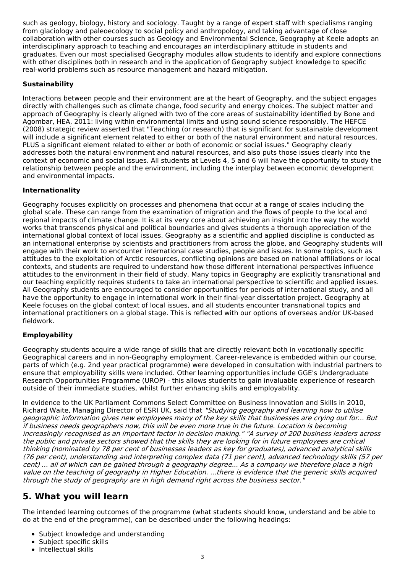such as geology, biology, history and sociology. Taught by a range of expert staff with specialisms ranging from glaciology and paleoecology to social policy and anthropology, and taking advantage of close collaboration with other courses such as Geology and Environmental Science, Geography at Keele adopts an interdisciplinary approach to teaching and encourages an interdisciplinary attitude in students and graduates. Even our most specialised Geography modules allow students to identify and explore connections with other disciplines both in research and in the application of Geography subject knowledge to specific real-world problems such as resource management and hazard mitigation.

### **Sustainability**

Interactions between people and their environment are at the heart of Geography, and the subject engages directly with challenges such as climate change, food security and energy choices. The subject matter and approach of Geography is clearly aligned with two of the core areas of sustainability identified by Bone and Agombar, HEA, 2011: living within environmental limits and using sound science responsibly. The HEFCE (2008) strategic review asserted that "Teaching (or research) that is significant for sustainable development will include a significant element related to either or both of the natural environment and natural resources, PLUS a significant element related to either or both of economic or social issues." Geography clearly addresses both the natural environment and natural resources, and also puts those issues clearly into the context of economic and social issues. All students at Levels 4, 5 and 6 will have the opportunity to study the relationship between people and the environment, including the interplay between economic development and environmental impacts.

### **Internationality**

Geography focuses explicitly on processes and phenomena that occur at a range of scales including the global scale. These can range from the examination of migration and the flows of people to the local and regional impacts of climate change. It is at its very core about achieving an insight into the way the world works that transcends physical and political boundaries and gives students a thorough appreciation of the international global context of local issues. Geography as a scientific and applied discipline is conducted as an international enterprise by scientists and practitioners from across the globe, and Geography students will engage with their work to encounter international case studies, people and issues. In some topics, such as attitudes to the exploitation of Arctic resources, conflicting opinions are based on national affiliations or local contexts, and students are required to understand how those different international perspectives influence attitudes to the environment in their field of study. Many topics in Geography are explicitly transnational and our teaching explicitly requires students to take an international perspective to scientific and applied issues. All Geography students are encouraged to consider opportunities for periods of international study, and all have the opportunity to engage in international work in their final-year dissertation project. Geography at Keele focuses on the global context of local issues, and all students encounter transnational topics and international practitioners on a global stage. This is reflected with our options of overseas and/or UK-based fieldwork.

### **Employability**

Geography students acquire a wide range of skills that are directly relevant both in vocationally specific Geographical careers and in non-Geography employment. Career-relevance is embedded within our course, parts of which (e.g. 2nd year practical programme) were developed in consultation with industrial partners to ensure that employability skills were included. Other learning opportunities include GGE's Undergraduate Research Opportunities Programme (UROP) - this allows students to gain invaluable experience of research outside of their immediate studies, whilst further enhancing skills and employability.

In evidence to the UK Parliament Commons Select Committee on Business Innovation and Skills in 2010, Richard Waite, Managing Director of ESRI UK, said that "Studying geography and learning how to utilise geographic information gives new employees many of the key skills that businesses are crying out for... But if business needs geographers now, this will be even more true in the future. Location is becoming increasingly recognised as an important factor in decision making." "A survey of 200 business leaders across the public and private sectors showed that the skills they are looking for in future employees are critical thinking (nominated by 78 per cent of businesses leaders as key for graduates), advanced analytical skills (76 per cent), understanding and interpreting complex data (71 per cent), advanced technology skills (57 per cent) ... all of which can be gained through <sup>a</sup> geography degree... As <sup>a</sup> company we therefore place <sup>a</sup> high value on the teaching of geography in Higher Education. ...there is evidence that the generic skills acquired through the study of geography are in high demand right across the business sector."

## **5. What you will learn**

The intended learning outcomes of the programme (what students should know, understand and be able to do at the end of the programme), can be described under the following headings:

- Subject knowledge and understanding
- Subject specific skills
- Intellectual skills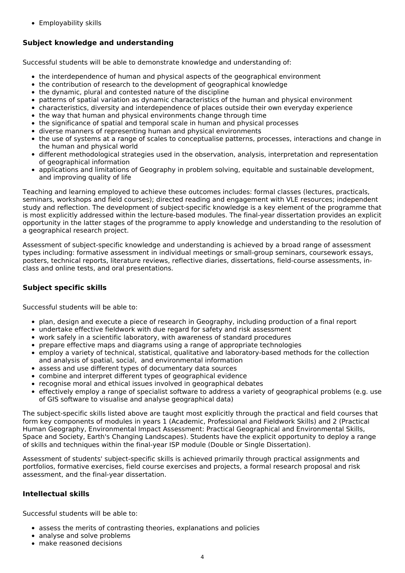Employability skills

## **Subject knowledge and understanding**

Successful students will be able to demonstrate knowledge and understanding of:

- the interdependence of human and physical aspects of the geographical environment
- the contribution of research to the development of geographical knowledge
- the dynamic, plural and contested nature of the discipline
- patterns of spatial variation as dynamic characteristics of the human and physical environment
- characteristics, diversity and interdependence of places outside their own everyday experience
- the way that human and physical environments change through time
- the significance of spatial and temporal scale in human and physical processes
- diverse manners of representing human and physical environments
- the use of systems at a range of scales to conceptualise patterns, processes, interactions and change in the human and physical world
- different methodological strategies used in the observation, analysis, interpretation and representation of geographical information
- applications and limitations of Geography in problem solving, equitable and sustainable development, and improving quality of life

Teaching and learning employed to achieve these outcomes includes: formal classes (lectures, practicals, seminars, workshops and field courses); directed reading and engagement with VLE resources; independent study and reflection. The development of subject-specific knowledge is a key element of the programme that is most explicitly addressed within the lecture-based modules. The final-year dissertation provides an explicit opportunity in the latter stages of the programme to apply knowledge and understanding to the resolution of a geographical research project.

Assessment of subject-specific knowledge and understanding is achieved by a broad range of assessment types including: formative assessment in individual meetings or small-group seminars, coursework essays, posters, technical reports, literature reviews, reflective diaries, dissertations, field-course assessments, inclass and online tests, and oral presentations.

### **Subject specific skills**

Successful students will be able to:

- plan, design and execute a piece of research in Geography, including production of a final report
- undertake effective fieldwork with due regard for safety and risk assessment
- work safely in a scientific laboratory, with awareness of standard procedures
- prepare effective maps and diagrams using a range of appropriate technologies
- employ a variety of technical, statistical, qualitative and laboratory-based methods for the collection and analysis of spatial, social, and environmental information
- assess and use different types of documentary data sources
- combine and interpret different types of geographical evidence
- recognise moral and ethical issues involved in geographical debates
- effectively employ a range of specialist software to address a variety of geographical problems (e.g. use of GIS software to visualise and analyse geographical data)

The subject-specific skills listed above are taught most explicitly through the practical and field courses that form key components of modules in years 1 (Academic, Professional and Fieldwork Skills) and 2 (Practical Human Geography, Environmental Impact Assessment: Practical Geographical and Environmental Skills, Space and Society, Earth's Changing Landscapes). Students have the explicit opportunity to deploy a range of skills and techniques within the final-year ISP module (Double or Single Dissertation).

Assessment of students' subject-specific skills is achieved primarily through practical assignments and portfolios, formative exercises, field course exercises and projects, a formal research proposal and risk assessment, and the final-year dissertation.

### **Intellectual skills**

Successful students will be able to:

- assess the merits of contrasting theories, explanations and policies
- analyse and solve problems
- make reasoned decisions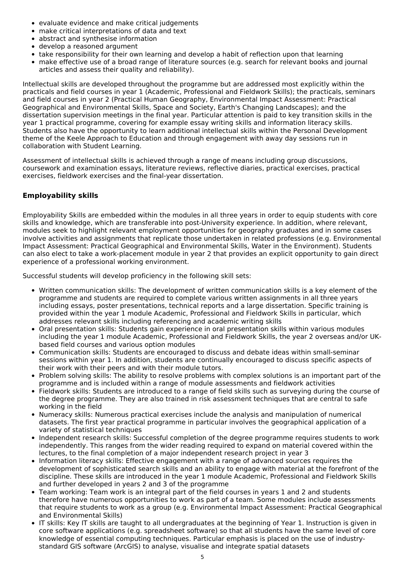- evaluate evidence and make critical judgements
- make critical interpretations of data and text
- abstract and synthesise information
- develop a reasoned argument
- take responsibility for their own learning and develop a habit of reflection upon that learning
- make effective use of a broad range of literature sources (e.g. search for relevant books and journal articles and assess their quality and reliability).

Intellectual skills are developed throughout the programme but are addressed most explicitly within the practicals and field courses in year 1 (Academic, Professional and Fieldwork Skills); the practicals, seminars and field courses in year 2 (Practical Human Geography, Environmental Impact Assessment: Practical Geographical and Environmental Skills, Space and Society, Earth's Changing Landscapes); and the dissertation supervision meetings in the final year. Particular attention is paid to key transition skills in the year 1 practical programme, covering for example essay writing skills and information literacy skills. Students also have the opportunity to learn additional intellectual skills within the Personal Development theme of the Keele Approach to Education and through engagement with away day sessions run in collaboration with Student Learning.

Assessment of intellectual skills is achieved through a range of means including group discussions, coursework and examination essays, literature reviews, reflective diaries, practical exercises, practical exercises, fieldwork exercises and the final-year dissertation.

### **Employability skills**

Employability Skills are embedded within the modules in all three years in order to equip students with core skills and knowledge, which are transferable into post-University experience. In addition, where relevant, modules seek to highlight relevant employment opportunities for geography graduates and in some cases involve activities and assignments that replicate those undertaken in related professions (e.g. Environmental Impact Assessment: Practical Geographical and Environmental Skills, Water in the Environment). Students can also elect to take a work-placement module in year 2 that provides an explicit opportunity to gain direct experience of a professional working environment.

Successful students will develop proficiency in the following skill sets:

- Written communication skills: The development of written communication skills is a key element of the programme and students are required to complete various written assignments in all three years including essays, poster presentations, technical reports and a large dissertation. Specific training is provided within the year 1 module Academic, Professional and Fieldwork Skills in particular, which addresses relevant skills including referencing and academic writing skills
- Oral presentation skills: Students gain experience in oral presentation skills within various modules including the year 1 module Academic, Professional and Fieldwork Skills, the year 2 overseas and/or UKbased field courses and various option modules
- Communication skills: Students are encouraged to discuss and debate ideas within small-seminar sessions within year 1. In addition, students are continually encouraged to discuss specific aspects of their work with their peers and with their module tutors.
- Problem solving skills: The ability to resolve problems with complex solutions is an important part of the programme and is included within a range of module assessments and fieldwork activities
- Fieldwork skills: Students are introduced to a range of field skills such as surveying during the course of the degree programme. They are also trained in risk assessment techniques that are central to safe working in the field
- Numeracy skills: Numerous practical exercises include the analysis and manipulation of numerical datasets. The first year practical programme in particular involves the geographical application of a variety of statistical techniques
- Independent research skills: Successful completion of the degree programme requires students to work independently. This ranges from the wider reading required to expand on material covered within the lectures, to the final completion of a major independent research project in year 3
- Information literacy skills: Effective engagement with a range of advanced sources requires the development of sophisticated search skills and an ability to engage with material at the forefront of the discipline. These skills are introduced in the year 1 module Academic, Professional and Fieldwork Skills and further developed in years 2 and 3 of the programme
- Team working: Team work is an integral part of the field courses in years 1 and 2 and students therefore have numerous opportunities to work as part of a team. Some modules include assessments that require students to work as a group (e.g. Environmental Impact Assessment: Practical Geographical and Environmental Skills)
- IT skills: Key IT skills are taught to all undergraduates at the beginning of Year 1. Instruction is given in core software applications (e.g. spreadsheet software) so that all students have the same level of core knowledge of essential computing techniques. Particular emphasis is placed on the use of industrystandard GIS software (ArcGIS) to analyse, visualise and integrate spatial datasets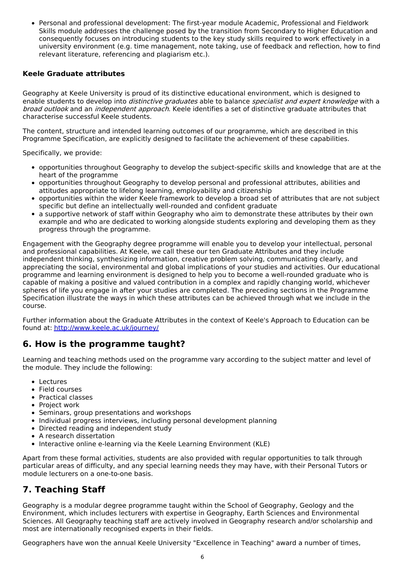Personal and professional development: The first-year module Academic, Professional and Fieldwork Skills module addresses the challenge posed by the transition from Secondary to Higher Education and consequently focuses on introducing students to the key study skills required to work effectively in a university environment (e.g. time management, note taking, use of feedback and reflection, how to find relevant literature, referencing and plagiarism etc.).

### **Keele Graduate attributes**

Geography at Keele University is proud of its distinctive educational environment, which is designed to enable students to develop into *distinctive graduates* able to balance *specialist and expert knowledge* with a broad outlook and an independent approach. Keele identifies a set of distinctive graduate attributes that characterise successful Keele students.

The content, structure and intended learning outcomes of our programme, which are described in this Programme Specification, are explicitly designed to facilitate the achievement of these capabilities.

Specifically, we provide:

- opportunities throughout Geography to develop the subject-specific skills and knowledge that are at the heart of the programme
- opportunities throughout Geography to develop personal and professional attributes, abilities and attitudes appropriate to lifelong learning, employability and citizenship
- opportunities within the wider Keele framework to develop a broad set of attributes that are not subject specific but define an intellectually well-rounded and confident graduate
- a supportive network of staff within Geography who aim to demonstrate these attributes by their own example and who are dedicated to working alongside students exploring and developing them as they progress through the programme.

Engagement with the Geography degree programme will enable you to develop your intellectual, personal and professional capabilities. At Keele, we call these our ten Graduate Attributes and they include independent thinking, synthesizing information, creative problem solving, communicating clearly, and appreciating the social, environmental and global implications of your studies and activities. Our educational programme and learning environment is designed to help you to become a well-rounded graduate who is capable of making a positive and valued contribution in a complex and rapidly changing world, whichever spheres of life you engage in after your studies are completed. The preceding sections in the Programme Specification illustrate the ways in which these attributes can be achieved through what we include in the course.

Further information about the Graduate Attributes in the context of Keele's Approach to Education can be found at: <http://www.keele.ac.uk/journey/>

### **6. How is the programme taught?**

Learning and teaching methods used on the programme vary according to the subject matter and level of the module. They include the following:

- Lectures
- Field courses
- Practical classes
- Project work
- Seminars, group presentations and workshops
- Individual progress interviews, including personal development planning
- Directed reading and independent study
- A research dissertation
- Interactive online e-learning via the Keele Learning Environment (KLE)

Apart from these formal activities, students are also provided with regular opportunities to talk through particular areas of difficulty, and any special learning needs they may have, with their Personal Tutors or module lecturers on a one-to-one basis.

## **7. Teaching Staff**

Geography is a modular degree programme taught within the School of Geography, Geology and the Environment, which includes lecturers with expertise in Geography, Earth Sciences and Environmental Sciences. All Geography teaching staff are actively involved in Geography research and/or scholarship and most are internationally recognised experts in their fields.

Geographers have won the annual Keele University "Excellence in Teaching" award a number of times,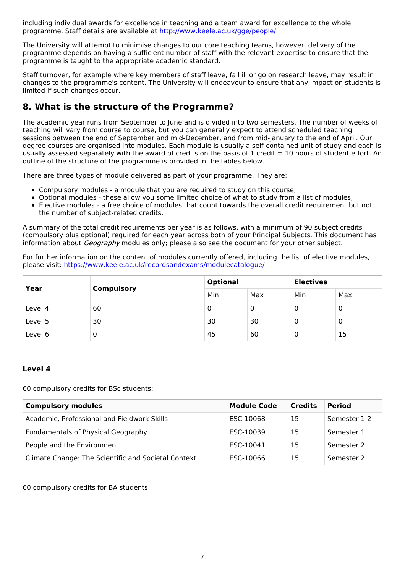including individual awards for excellence in teaching and a team award for excellence to the whole programme. Staff details are available at <http://www.keele.ac.uk/gge/people/>

The University will attempt to minimise changes to our core teaching teams, however, delivery of the programme depends on having a sufficient number of staff with the relevant expertise to ensure that the programme is taught to the appropriate academic standard.

Staff turnover, for example where key members of staff leave, fall ill or go on research leave, may result in changes to the programme's content. The University will endeavour to ensure that any impact on students is limited if such changes occur.

## **8. What is the structure of the Programme?**

The academic year runs from September to June and is divided into two semesters. The number of weeks of teaching will vary from course to course, but you can generally expect to attend scheduled teaching sessions between the end of September and mid-December, and from mid-January to the end of April. Our degree courses are organised into modules. Each module is usually a self-contained unit of study and each is usually assessed separately with the award of credits on the basis of 1 credit = 10 hours of student effort. An outline of the structure of the programme is provided in the tables below.

There are three types of module delivered as part of your programme. They are:

- Compulsory modules a module that you are required to study on this course;
- Optional modules these allow you some limited choice of what to study from a list of modules;
- Elective modules a free choice of modules that count towards the overall credit requirement but not the number of subject-related credits.

A summary of the total credit requirements per year is as follows, with a minimum of 90 subject credits (compulsory plus optional) required for each year across both of your Principal Subjects. This document has information about *Geography* modules only; please also see the document for your other subject.

For further information on the content of modules currently offered, including the list of elective modules, please visit: <https://www.keele.ac.uk/recordsandexams/modulecatalogue/>

| Year    | <b>Compulsory</b> | <b>Optional</b> |     | <b>Electives</b> |     |
|---------|-------------------|-----------------|-----|------------------|-----|
|         |                   | Min             | Max | Min              | Max |
| Level 4 | 60                |                 | U   | υ                | 0   |
| Level 5 | 30                | 30              | 30  | U                | 0   |
| Level 6 | 0                 | 45              | 60  | O                | 15  |

### **Level 4**

60 compulsory credits for BSc students:

| <b>Compulsory modules</b>                           | <b>Module Code</b> | <b>Credits</b> | <b>Period</b> |
|-----------------------------------------------------|--------------------|----------------|---------------|
| Academic, Professional and Fieldwork Skills         | ESC-10068          | 15             | Semester 1-2  |
| Fundamentals of Physical Geography                  | ESC-10039          | 15             | Semester 1    |
| People and the Environment                          | ESC-10041          | 15             | Semester 2    |
| Climate Change: The Scientific and Societal Context | ESC-10066          | 15             | Semester 2    |

60 compulsory credits for BA students: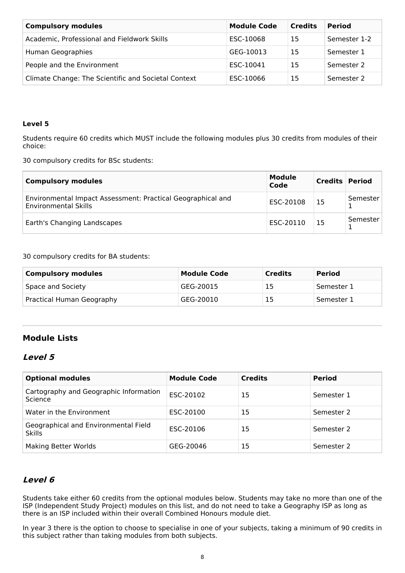| <b>Compulsory modules</b>                           | <b>Module Code</b> | <b>Credits</b> | <b>Period</b> |
|-----------------------------------------------------|--------------------|----------------|---------------|
| Academic, Professional and Fieldwork Skills         | ESC-10068          | 15             | Semester 1-2  |
| Human Geographies                                   | GEG-10013          | 15             | Semester 1    |
| People and the Environment                          | ESC-10041          | 15             | Semester 2    |
| Climate Change: The Scientific and Societal Context | ESC-10066          | 15             | Semester 2    |

#### **Level 5**

Students require 60 credits which MUST include the following modules plus 30 credits from modules of their choice:

30 compulsory credits for BSc students:

| <b>Compulsory modules</b>                                                                  | <b>Module</b><br>Code | <b>Credits Period</b> |          |
|--------------------------------------------------------------------------------------------|-----------------------|-----------------------|----------|
| Environmental Impact Assessment: Practical Geographical and<br><b>Environmental Skills</b> | ESC-20108             | 15                    | Semester |
| Earth's Changing Landscapes                                                                | ESC-20110             | 15                    | Semester |

30 compulsory credits for BA students:

| Compulsory modules        | <b>Module Code</b> | <b>Credits</b> | <b>Period</b> |
|---------------------------|--------------------|----------------|---------------|
| Space and Society         | GEG-20015          | 15             | Semester 1    |
| Practical Human Geography | GEG-20010          | 15             | Semester 1    |

## **Module Lists**

### **Level 5**

| <b>Optional modules</b>                               | <b>Module Code</b> | <b>Credits</b> | <b>Period</b> |
|-------------------------------------------------------|--------------------|----------------|---------------|
| Cartography and Geographic Information<br>Science     | ESC-20102          | 15             | Semester 1    |
| Water in the Environment                              | ESC-20100          | 15             | Semester 2    |
| Geographical and Environmental Field<br><b>Skills</b> | ESC-20106          | 15             | Semester 2    |
| <b>Making Better Worlds</b>                           | GEG-20046          | 15             | Semester 2    |

## **Level 6**

Students take either 60 credits from the optional modules below. Students may take no more than one of the ISP (Independent Study Project) modules on this list, and do not need to take a Geography ISP as long as there is an ISP included within their overall Combined Honours module diet.

In year 3 there is the option to choose to specialise in one of your subjects, taking a minimum of 90 credits in this subject rather than taking modules from both subjects.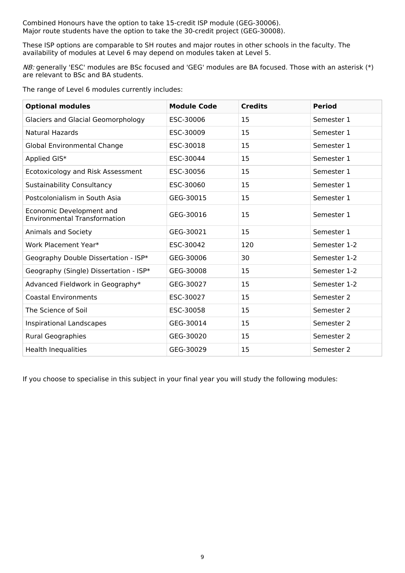Combined Honours have the option to take 15-credit ISP module (GEG-30006). Major route students have the option to take the 30-credit project (GEG-30008).

These ISP options are comparable to SH routes and major routes in other schools in the faculty. The availability of modules at Level 6 may depend on modules taken at Level 5.

NB: generally 'ESC' modules are BSc focused and 'GEG' modules are BA focused. Those with an asterisk (\*) are relevant to BSc and BA students.

The range of Level 6 modules currently includes:

| <b>Optional modules</b>                                         | <b>Module Code</b> | <b>Credits</b> | <b>Period</b> |
|-----------------------------------------------------------------|--------------------|----------------|---------------|
| <b>Glaciers and Glacial Geomorphology</b>                       | ESC-30006          | 15             | Semester 1    |
| Natural Hazards                                                 | ESC-30009          | 15             | Semester 1    |
| <b>Global Environmental Change</b>                              | ESC-30018          | 15             | Semester 1    |
| Applied GIS*                                                    | ESC-30044          | 15             | Semester 1    |
| Ecotoxicology and Risk Assessment                               | ESC-30056          | 15             | Semester 1    |
| <b>Sustainability Consultancy</b>                               | ESC-30060          | 15             | Semester 1    |
| Postcolonialism in South Asia                                   | GEG-30015          | 15             | Semester 1    |
| Economic Development and<br><b>Environmental Transformation</b> | GEG-30016          | 15             | Semester 1    |
| Animals and Society                                             | GEG-30021          | 15             | Semester 1    |
| Work Placement Year*                                            | ESC-30042          | 120            | Semester 1-2  |
| Geography Double Dissertation - ISP*                            | GEG-30006          | 30             | Semester 1-2  |
| Geography (Single) Dissertation - ISP*                          | GEG-30008          | 15             | Semester 1-2  |
| Advanced Fieldwork in Geography*                                | GEG-30027          | 15             | Semester 1-2  |
| <b>Coastal Environments</b>                                     | ESC-30027          | 15             | Semester 2    |
| The Science of Soil                                             | ESC-30058          | 15             | Semester 2    |
| Inspirational Landscapes                                        | GEG-30014          | 15             | Semester 2    |
| <b>Rural Geographies</b>                                        | GEG-30020          | 15             | Semester 2    |
| <b>Health Inequalities</b>                                      | GEG-30029          | 15             | Semester 2    |

If you choose to specialise in this subject in your final year you will study the following modules: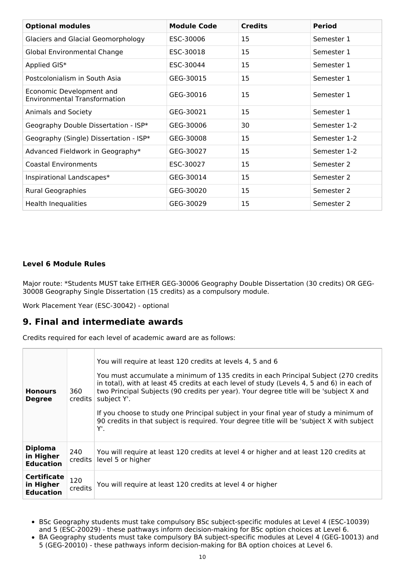| <b>Optional modules</b>                                         | <b>Module Code</b> | <b>Credits</b> | <b>Period</b> |
|-----------------------------------------------------------------|--------------------|----------------|---------------|
| <b>Glaciers and Glacial Geomorphology</b>                       | ESC-30006          | 15             | Semester 1    |
| Global Environmental Change                                     | ESC-30018          | 15             | Semester 1    |
| Applied GIS*                                                    | ESC-30044          | 15             | Semester 1    |
| Postcolonialism in South Asia                                   | GEG-30015          | 15             | Semester 1    |
| Economic Development and<br><b>Environmental Transformation</b> | GEG-30016          | 15             | Semester 1    |
| Animals and Society                                             | GEG-30021          | 15             | Semester 1    |
| Geography Double Dissertation - ISP*                            | GEG-30006          | 30             | Semester 1-2  |
| Geography (Single) Dissertation - ISP*                          | GEG-30008          | 15             | Semester 1-2  |
| Advanced Fieldwork in Geography*                                | GEG-30027          | 15             | Semester 1-2  |
| <b>Coastal Environments</b>                                     | ESC-30027          | 15             | Semester 2    |
| Inspirational Landscapes*                                       | GEG-30014          | 15             | Semester 2    |
| <b>Rural Geographies</b>                                        | GEG-30020          | 15             | Semester 2    |
| <b>Health Inequalities</b>                                      | GEG-30029          | 15             | Semester 2    |

### **Level 6 Module Rules**

Major route: \*Students MUST take EITHER GEG-30006 Geography Double Dissertation (30 credits) OR GEG-30008 Geography Single Dissertation (15 credits) as a compulsory module.

Work Placement Year (ESC-30042) - optional

## **9. Final and intermediate awards**

Credits required for each level of academic award are as follows:

| <b>Honours</b><br><b>Degree</b>                     | 360<br>credits | You will require at least 120 credits at levels 4, 5 and 6<br>You must accumulate a minimum of 135 credits in each Principal Subject (270 credits<br>in total), with at least 45 credits at each level of study (Levels 4, 5 and 6) in each of<br>two Principal Subjects (90 credits per year). Your degree title will be 'subject X and<br>subject Y'.<br>If you choose to study one Principal subject in your final year of study a minimum of<br>90 credits in that subject is required. Your degree title will be 'subject X with subject<br>Υ'. |
|-----------------------------------------------------|----------------|------------------------------------------------------------------------------------------------------------------------------------------------------------------------------------------------------------------------------------------------------------------------------------------------------------------------------------------------------------------------------------------------------------------------------------------------------------------------------------------------------------------------------------------------------|
| <b>Diploma</b><br>in Higher<br><b>Education</b>     | 240<br>credits | You will require at least 120 credits at level 4 or higher and at least 120 credits at<br>level 5 or higher                                                                                                                                                                                                                                                                                                                                                                                                                                          |
| <b>Certificate</b><br>in Higher<br><b>Education</b> | 120<br>credits | You will require at least 120 credits at level 4 or higher                                                                                                                                                                                                                                                                                                                                                                                                                                                                                           |

- BSc Geography students must take compulsory BSc subject-specific modules at Level 4 (ESC-10039) and 5 (ESC-20029) - these pathways inform decision-making for BSc option choices at Level 6.
- BA Geography students must take compulsory BA subject-specific modules at Level 4 (GEG-10013) and  $\bullet$ 5 (GEG-20010) - these pathways inform decision-making for BA option choices at Level 6.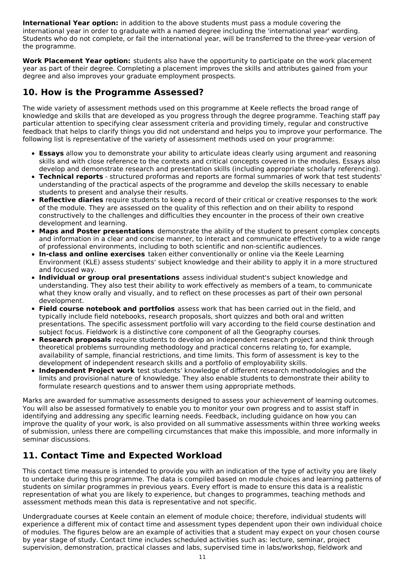**International Year option:** in addition to the above students must pass a module covering the international year in order to graduate with a named degree including the 'international year' wording. Students who do not complete, or fail the international year, will be transferred to the three-year version of the programme.

**Work Placement Year option:** students also have the opportunity to participate on the work placement year as part of their degree. Completing a placement improves the skills and attributes gained from your degree and also improves your graduate employment prospects.

## **10. How is the Programme Assessed?**

The wide variety of assessment methods used on this programme at Keele reflects the broad range of knowledge and skills that are developed as you progress through the degree programme. Teaching staff pay particular attention to specifying clear assessment criteria and providing timely, regular and constructive feedback that helps to clarify things you did not understand and helps you to improve your performance. The following list is representative of the variety of assessment methods used on your programme:

- **Essays** allow you to demonstrate your ability to articulate ideas clearly using argument and reasoning skills and with close reference to the contexts and critical concepts covered in the modules. Essays also develop and demonstrate research and presentation skills (including appropriate scholarly referencing).
- **Technical reports** structured proformas and reports are formal summaries of work that test students' understanding of the practical aspects of the programme and develop the skills necessary to enable students to present and analyse their results.
- **Reflective diaries** require students to keep a record of their critical or creative responses to the work of the module. They are assessed on the quality of this reflection and on their ability to respond constructively to the challenges and difficulties they encounter in the process of their own creative development and learning.
- **Maps and Poster presentations** demonstrate the ability of the student to present complex concepts and information in a clear and concise manner, to interact and communicate effectively to a wide range of professional environments, including to both scientific and non-scientific audiences.
- **In-class and online exercises** taken either conventionally or online via the Keele Learning Environment (KLE) assess students' subject knowledge and their ability to apply it in a more structured and focused way.
- **Individual or group oral presentations** assess individual student's subject knowledge and understanding. They also test their ability to work effectively as members of a team, to communicate what they know orally and visually, and to reflect on these processes as part of their own personal development.
- **Field course notebook and portfolios** assess work that has been carried out in the field, and typically include field notebooks, research proposals, short quizzes and both oral and written presentations. The specific assessment portfolio will vary according to the field course destination and subject focus. Fieldwork is a distinctive core component of all the Geography courses.
- **Research proposals** require students to develop an independent research project and think through theoretical problems surrounding methodology and practical concerns relating to, for example, availability of sample, financial restrictions, and time limits. This form of assessment is key to the development of independent research skills and a portfolio of employability skills.
- **Independent Project work** test students' knowledge of different research methodologies and the limits and provisional nature of knowledge. They also enable students to demonstrate their ability to formulate research questions and to answer them using appropriate methods.

Marks are awarded for summative assessments designed to assess your achievement of learning outcomes. You will also be assessed formatively to enable you to monitor your own progress and to assist staff in identifying and addressing any specific learning needs. Feedback, including guidance on how you can improve the quality of your work, is also provided on all summative assessments within three working weeks of submission, unless there are compelling circumstances that make this impossible, and more informally in seminar discussions.

# **11. Contact Time and Expected Workload**

This contact time measure is intended to provide you with an indication of the type of activity you are likely to undertake during this programme. The data is compiled based on module choices and learning patterns of students on similar programmes in previous years. Every effort is made to ensure this data is a realistic representation of what you are likely to experience, but changes to programmes, teaching methods and assessment methods mean this data is representative and not specific.

Undergraduate courses at Keele contain an element of module choice; therefore, individual students will experience a different mix of contact time and assessment types dependent upon their own individual choice of modules. The figures below are an example of activities that a student may expect on your chosen course by year stage of study. Contact time includes scheduled activities such as: lecture, seminar, project supervision, demonstration, practical classes and labs, supervised time in labs/workshop, fieldwork and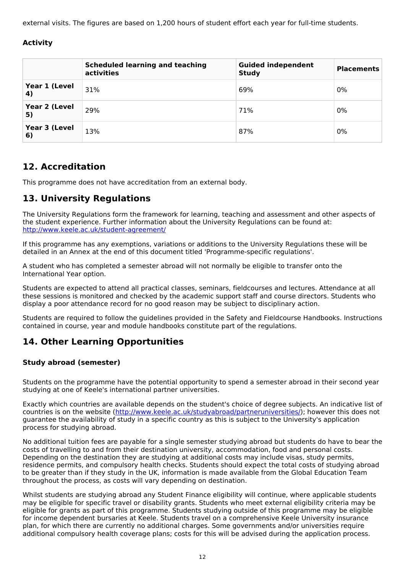external visits. The figures are based on 1,200 hours of student effort each year for full-time students.

### **Activity**

|                     | <b>Scheduled learning and teaching</b><br>activities | <b>Guided independent</b><br><b>Study</b> | <b>Placements</b> |
|---------------------|------------------------------------------------------|-------------------------------------------|-------------------|
| Year 1 (Level<br>4) | 31%                                                  | 69%                                       | 0%                |
| Year 2 (Level<br>5) | 29%                                                  | 71%                                       | 0%                |
| Year 3 (Level<br>6) | 13%                                                  | 87%                                       | 0%                |

## **12. Accreditation**

This programme does not have accreditation from an external body.

## **13. University Regulations**

The University Regulations form the framework for learning, teaching and assessment and other aspects of the student experience. Further information about the University Regulations can be found at: <http://www.keele.ac.uk/student-agreement/>

If this programme has any exemptions, variations or additions to the University Regulations these will be detailed in an Annex at the end of this document titled 'Programme-specific regulations'.

A student who has completed a semester abroad will not normally be eligible to transfer onto the International Year option.

Students are expected to attend all practical classes, seminars, fieldcourses and lectures. Attendance at all these sessions is monitored and checked by the academic support staff and course directors. Students who display a poor attendance record for no good reason may be subject to disciplinary action.

Students are required to follow the guidelines provided in the Safety and Fieldcourse Handbooks. Instructions contained in course, year and module handbooks constitute part of the regulations.

## **14. Other Learning Opportunities**

### **Study abroad (semester)**

Students on the programme have the potential opportunity to spend a semester abroad in their second year studying at one of Keele's international partner universities.

Exactly which countries are available depends on the student's choice of degree subjects. An indicative list of countries is on the website (<http://www.keele.ac.uk/studyabroad/partneruniversities/>); however this does not guarantee the availability of study in a specific country as this is subject to the University's application process for studying abroad.

No additional tuition fees are payable for a single semester studying abroad but students do have to bear the costs of travelling to and from their destination university, accommodation, food and personal costs. Depending on the destination they are studying at additional costs may include visas, study permits, residence permits, and compulsory health checks. Students should expect the total costs of studying abroad to be greater than if they study in the UK, information is made available from the Global Education Team throughout the process, as costs will vary depending on destination.

Whilst students are studying abroad any Student Finance eligibility will continue, where applicable students may be eligible for specific travel or disability grants. Students who meet external eligibility criteria may be eligible for grants as part of this programme. Students studying outside of this programme may be eligible for income dependent bursaries at Keele. Students travel on a comprehensive Keele University insurance plan, for which there are currently no additional charges. Some governments and/or universities require additional compulsory health coverage plans; costs for this will be advised during the application process.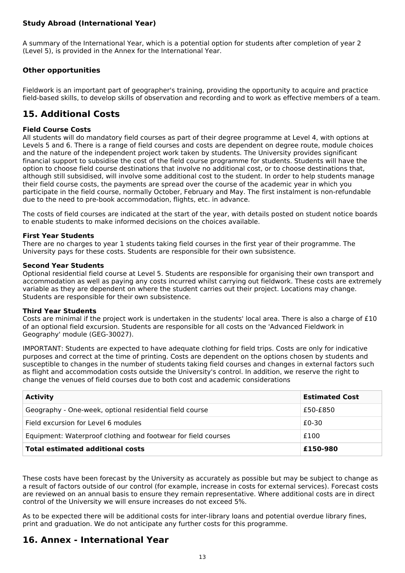### **Study Abroad (International Year)**

A summary of the International Year, which is a potential option for students after completion of year 2 (Level 5), is provided in the Annex for the International Year.

### **Other opportunities**

Fieldwork is an important part of geographer's training, providing the opportunity to acquire and practice field-based skills, to develop skills of observation and recording and to work as effective members of a team.

## **15. Additional Costs**

#### **Field Course Costs**

All students will do mandatory field courses as part of their degree programme at Level 4, with options at Levels 5 and 6. There is a range of field courses and costs are dependent on degree route, module choices and the nature of the independent project work taken by students. The University provides significant financial support to subsidise the cost of the field course programme for students. Students will have the option to choose field course destinations that involve no additional cost, or to choose destinations that, although still subsidised, will involve some additional cost to the student. In order to help students manage their field course costs, the payments are spread over the course of the academic year in which you participate in the field course, normally October, February and May. The first instalment is non-refundable due to the need to pre-book accommodation, flights, etc. in advance.

The costs of field courses are indicated at the start of the year, with details posted on student notice boards to enable students to make informed decisions on the choices available.

#### **First Year Students**

There are no charges to year 1 students taking field courses in the first year of their programme. The University pays for these costs. Students are responsible for their own subsistence.

#### **Second Year Students**

Optional residential field course at Level 5. Students are responsible for organising their own transport and accommodation as well as paying any costs incurred whilst carrying out fieldwork. These costs are extremely variable as they are dependent on where the student carries out their project. Locations may change. Students are responsible for their own subsistence.

#### **Third Year Students**

Costs are minimal if the project work is undertaken in the students' local area. There is also a charge of £10 of an optional field excursion. Students are responsible for all costs on the 'Advanced Fieldwork in Geography' module (GEG-30027).

IMPORTANT: Students are expected to have adequate clothing for field trips. Costs are only for indicative purposes and correct at the time of printing. Costs are dependent on the options chosen by students and susceptible to changes in the number of students taking field courses and changes in external factors such as flight and accommodation costs outside the University's control. In addition, we reserve the right to change the venues of field courses due to both cost and academic considerations

| <b>Activity</b>                                               | <b>Estimated Cost</b> |
|---------------------------------------------------------------|-----------------------|
| Geography - One-week, optional residential field course       | £50-£850              |
| Field excursion for Level 6 modules                           | £0-30                 |
| Equipment: Waterproof clothing and footwear for field courses | £100                  |
| <b>Total estimated additional costs</b>                       | £150-980              |

These costs have been forecast by the University as accurately as possible but may be subject to change as a result of factors outside of our control (for example, increase in costs for external services). Forecast costs are reviewed on an annual basis to ensure they remain representative. Where additional costs are in direct control of the University we will ensure increases do not exceed 5%.

As to be expected there will be additional costs for inter-library loans and potential overdue library fines, print and graduation. We do not anticipate any further costs for this programme.

## **16. Annex - International Year**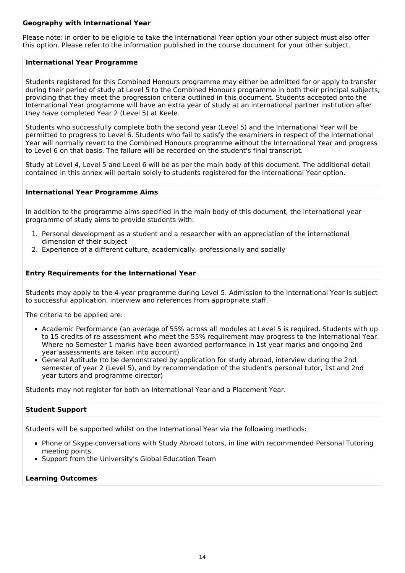#### **Geography with International Year**

Please note: in order to be eligible to take the International Year option your other subject must also offer this option. Please refer to the information published in the course document for your other subject.

#### **International Year Programme**

Students registered for this Combined Honours programme may either be admitted for or apply to transfer during their period of study at Level 5 to the Combined Honours programme in both their principal subjects, providing that they meet the progression criteria outlined in this document. Students accepted onto the International Year programme will have an extra year of study at an international partner institution after they have completed Year 2 (Level 5) at Keele.

Students who successfully complete both the second year (Level 5) and the International Year will be permitted to progress to Level 6. Students who fail to satisfy the examiners in respect of the International Year will normally revert to the Combined Honours programme without the International Year and progress to Level 6 on that basis. The failure will be recorded on the student's final transcript.

Study at Level 4, Level 5 and Level 6 will be as per the main body of this document. The additional detail contained in this annex will pertain solely to students registered for the International Year option.

#### **International Year Programme Aims**

In addition to the programme aims specified in the main body of this document, the international year programme of study aims to provide students with:

- 1. Personal development as a student and a researcher with an appreciation of the international dimension of their subject
- 2. Experience of a different culture, academically, professionally and socially

#### **Entry Requirements for the International Year**

Students may apply to the 4-year programme during Level 5. Admission to the International Year is subject to successful application, interview and references from appropriate staff.

The criteria to be applied are:

- Academic Performance (an average of 55% across all modules at Level 5 is required. Students with up to 15 credits of re-assessment who meet the 55% requirement may progress to the International Year. Where no Semester 1 marks have been awarded performance in 1st year marks and ongoing 2nd year assessments are taken into account)
- General Aptitude (to be demonstrated by application for study abroad, interview during the 2nd semester of year 2 (Level 5), and by recommendation of the student's personal tutor, 1st and 2nd year tutors and programme director)

Students may not register for both an International Year and a Placement Year.

#### **Student Support**

Students will be supported whilst on the International Year via the following methods:

- Phone or Skype conversations with Study Abroad tutors, in line with recommended Personal Tutoring meeting points.
- Support from the University's Global Education Team

### **Learning Outcomes**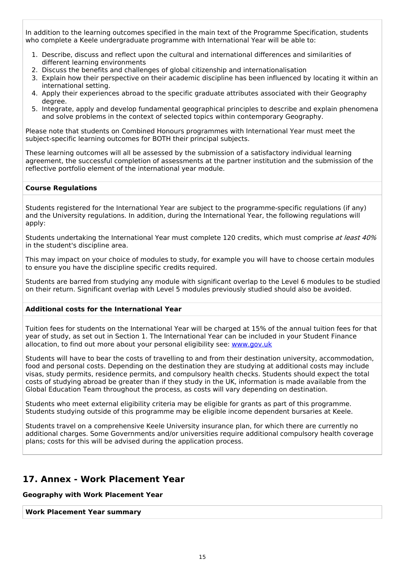In addition to the learning outcomes specified in the main text of the Programme Specification, students who complete a Keele undergraduate programme with International Year will be able to:

- 1. Describe, discuss and reflect upon the cultural and international differences and similarities of different learning environments
- 2. Discuss the benefits and challenges of global citizenship and internationalisation
- 3. Explain how their perspective on their academic discipline has been influenced by locating it within an international setting.
- 4. Apply their experiences abroad to the specific graduate attributes associated with their Geography degree.
- 5. Integrate, apply and develop fundamental geographical principles to describe and explain phenomena and solve problems in the context of selected topics within contemporary Geography.

Please note that students on Combined Honours programmes with International Year must meet the subject-specific learning outcomes for BOTH their principal subjects.

These learning outcomes will all be assessed by the submission of a satisfactory individual learning agreement, the successful completion of assessments at the partner institution and the submission of the reflective portfolio element of the international year module.

#### **Course Regulations**

Students registered for the International Year are subject to the programme-specific regulations (if any) and the University regulations. In addition, during the International Year, the following regulations will apply:

Students undertaking the International Year must complete 120 credits, which must comprise at least 40% in the student's discipline area.

This may impact on your choice of modules to study, for example you will have to choose certain modules to ensure you have the discipline specific credits required.

Students are barred from studying any module with significant overlap to the Level 6 modules to be studied on their return. Significant overlap with Level 5 modules previously studied should also be avoided.

#### **Additional costs for the International Year**

Tuition fees for students on the International Year will be charged at 15% of the annual tuition fees for that year of study, as set out in Section 1. The International Year can be included in your Student Finance allocation, to find out more about your personal eligibility see: [www.gov.uk](http://www.gov.uk/)

Students will have to bear the costs of travelling to and from their destination university, accommodation, food and personal costs. Depending on the destination they are studying at additional costs may include visas, study permits, residence permits, and compulsory health checks. Students should expect the total costs of studying abroad be greater than if they study in the UK, information is made available from the Global Education Team throughout the process, as costs will vary depending on destination.

Students who meet external eligibility criteria may be eligible for grants as part of this programme. Students studying outside of this programme may be eligible income dependent bursaries at Keele.

Students travel on a comprehensive Keele University insurance plan, for which there are currently no additional charges. Some Governments and/or universities require additional compulsory health coverage plans; costs for this will be advised during the application process.

## **17. Annex - Work Placement Year**

#### **Geography with Work Placement Year**

**Work Placement Year summary**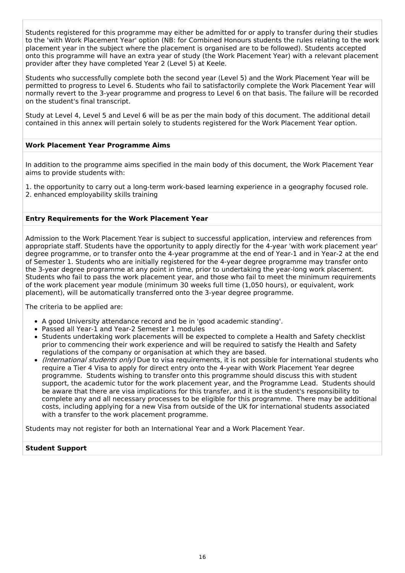Students registered for this programme may either be admitted for or apply to transfer during their studies to the 'with Work Placement Year' option (NB: for Combined Honours students the rules relating to the work placement year in the subject where the placement is organised are to be followed). Students accepted onto this programme will have an extra year of study (the Work Placement Year) with a relevant placement provider after they have completed Year 2 (Level 5) at Keele.

Students who successfully complete both the second year (Level 5) and the Work Placement Year will be permitted to progress to Level 6. Students who fail to satisfactorily complete the Work Placement Year will normally revert to the 3-year programme and progress to Level 6 on that basis. The failure will be recorded on the student's final transcript.

Study at Level 4, Level 5 and Level 6 will be as per the main body of this document. The additional detail contained in this annex will pertain solely to students registered for the Work Placement Year option.

#### **Work Placement Year Programme Aims**

In addition to the programme aims specified in the main body of this document, the Work Placement Year aims to provide students with:

1. the opportunity to carry out a long-term work-based learning experience in a geography focused role. 2. enhanced employability skills training

#### **Entry Requirements for the Work Placement Year**

Admission to the Work Placement Year is subject to successful application, interview and references from appropriate staff. Students have the opportunity to apply directly for the 4-year 'with work placement year' degree programme, or to transfer onto the 4-year programme at the end of Year-1 and in Year-2 at the end of Semester 1. Students who are initially registered for the 4-year degree programme may transfer onto the 3-year degree programme at any point in time, prior to undertaking the year-long work placement. Students who fail to pass the work placement year, and those who fail to meet the minimum requirements of the work placement year module (minimum 30 weeks full time (1,050 hours), or equivalent, work placement), will be automatically transferred onto the 3-year degree programme.

The criteria to be applied are:

- A good University attendance record and be in 'good academic standing'.
- Passed all Year-1 and Year-2 Semester 1 modules
- Students undertaking work placements will be expected to complete a Health and Safety checklist prior to commencing their work experience and will be required to satisfy the Health and Safety regulations of the company or organisation at which they are based.
- (International students only) Due to visa requirements, it is not possible for international students who require a Tier 4 Visa to apply for direct entry onto the 4-year with Work Placement Year degree programme. Students wishing to transfer onto this programme should discuss this with student support, the academic tutor for the work placement year, and the Programme Lead. Students should be aware that there are visa implications for this transfer, and it is the student's responsibility to complete any and all necessary processes to be eligible for this programme. There may be additional costs, including applying for a new Visa from outside of the UK for international students associated with a transfer to the work placement programme.

Students may not register for both an International Year and a Work Placement Year.

#### **Student Support**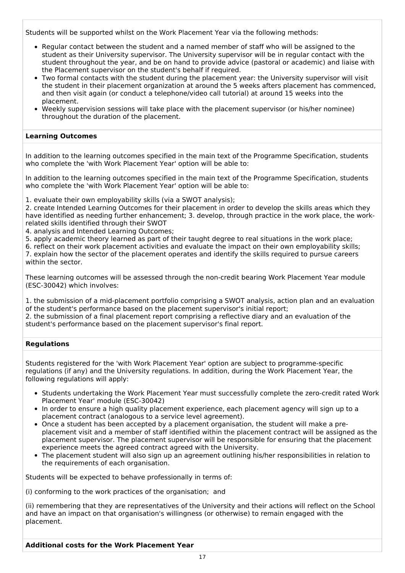Students will be supported whilst on the Work Placement Year via the following methods:

- Regular contact between the student and a named member of staff who will be assigned to the student as their University supervisor. The University supervisor will be in regular contact with the student throughout the year, and be on hand to provide advice (pastoral or academic) and liaise with the Placement supervisor on the student's behalf if required.
- Two formal contacts with the student during the placement year: the University supervisor will visit the student in their placement organization at around the 5 weeks afters placement has commenced, and then visit again (or conduct a telephone/video call tutorial) at around 15 weeks into the placement.
- Weekly supervision sessions will take place with the placement supervisor (or his/her nominee) throughout the duration of the placement.

#### **Learning Outcomes**

In addition to the learning outcomes specified in the main text of the Programme Specification, students who complete the 'with Work Placement Year' option will be able to:

In addition to the learning outcomes specified in the main text of the Programme Specification, students who complete the 'with Work Placement Year' option will be able to:

1. evaluate their own employability skills (via a SWOT analysis);

2. create Intended Learning Outcomes for their placement in order to develop the skills areas which they have identified as needing further enhancement; 3. develop, through practice in the work place, the workrelated skills identified through their SWOT

4. analysis and Intended Learning Outcomes;

5. apply academic theory learned as part of their taught degree to real situations in the work place;

6. reflect on their work placement activities and evaluate the impact on their own employability skills; 7. explain how the sector of the placement operates and identify the skills required to pursue careers within the sector.

These learning outcomes will be assessed through the non-credit bearing Work Placement Year module (ESC-30042) which involves:

1. the submission of a mid-placement portfolio comprising a SWOT analysis, action plan and an evaluation of the student's performance based on the placement supervisor's initial report;

2. the submission of a final placement report comprising a reflective diary and an evaluation of the student's performance based on the placement supervisor's final report.

#### **Regulations**

Students registered for the 'with Work Placement Year' option are subject to programme-specific regulations (if any) and the University regulations. In addition, during the Work Placement Year, the following regulations will apply:

- Students undertaking the Work Placement Year must successfully complete the zero-credit rated Work Placement Year' module (ESC-30042)
- In order to ensure a high quality placement experience, each placement agency will sign up to a placement contract (analogous to a service level agreement).
- Once a student has been accepted by a placement organisation, the student will make a preplacement visit and a member of staff identified within the placement contract will be assigned as the placement supervisor. The placement supervisor will be responsible for ensuring that the placement experience meets the agreed contract agreed with the University.
- The placement student will also sign up an agreement outlining his/her responsibilities in relation to the requirements of each organisation.

Students will be expected to behave professionally in terms of:

(i) conforming to the work practices of the organisation; and

(ii) remembering that they are representatives of the University and their actions will reflect on the School and have an impact on that organisation's willingness (or otherwise) to remain engaged with the placement.

**Additional costs for the Work Placement Year**